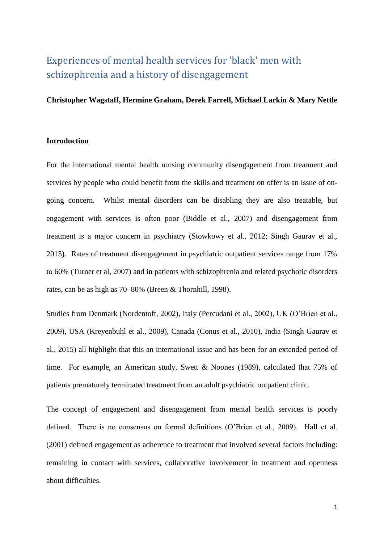# Experiences of mental health services for 'black' men with schizophrenia and a history of disengagement

## **Christopher Wagstaff, Hermine Graham, Derek Farrell, Michael Larkin & Mary Nettle**

## **Introduction**

For the international mental health nursing community disengagement from treatment and services by people who could benefit from the skills and treatment on offer is an issue of ongoing concern. Whilst mental disorders can be disabling they are also treatable, but engagement with services is often poor (Biddle et al., 2007) and disengagement from treatment is a major concern in psychiatry (Stowkowy et al., 2012; Singh Gaurav et al., 2015). Rates of treatment disengagement in psychiatric outpatient services range from 17% to 60% (Turner et al, 2007) and in patients with schizophrenia and related psychotic disorders rates, can be as high as 70–80% (Breen & Thornhill, 1998).

Studies from Denmark (Nordentoft, 2002), Italy (Percudani et al., 2002), UK (O'Brien et al., 2009), USA (Kreyenbuhl et al., 2009), Canada (Conus et al., 2010), India (Singh Gaurav et al., 2015) all highlight that this an international issue and has been for an extended period of time. For example, an American study, Swett & Noones (1989), calculated that 75% of patients prematurely terminated treatment from an adult psychiatric outpatient clinic.

The concept of engagement and disengagement from mental health services is poorly defined. There is no consensus on formal definitions (O'Brien et al., 2009). Hall et al. (2001) defined engagement as adherence to treatment that involved several factors including: remaining in contact with services, collaborative involvement in treatment and openness about difficulties.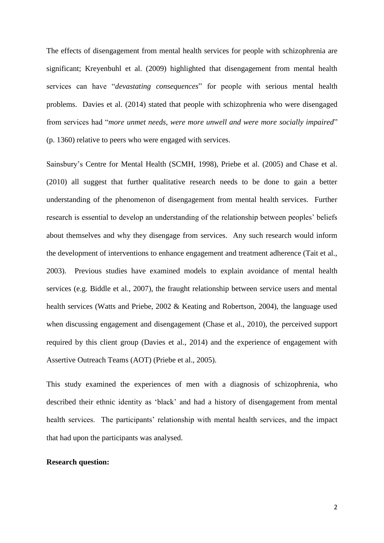The effects of disengagement from mental health services for people with schizophrenia are significant; Kreyenbuhl et al. (2009) highlighted that disengagement from mental health services can have "*devastating consequences*" for people with serious mental health problems. Davies et al. (2014) stated that people with schizophrenia who were disengaged from services had "*more unmet needs, were more unwell and were more socially impaired*" (p. 1360) relative to peers who were engaged with services.

Sainsbury's Centre for Mental Health (SCMH, 1998), Priebe et al. (2005) and Chase et al. (2010) all suggest that further qualitative research needs to be done to gain a better understanding of the phenomenon of disengagement from mental health services. Further research is essential to develop an understanding of the relationship between peoples' beliefs about themselves and why they disengage from services. Any such research would inform the development of interventions to enhance engagement and treatment adherence (Tait et al., 2003). Previous studies have examined models to explain avoidance of mental health services (e.g. Biddle et al., 2007), the fraught relationship between service users and mental health services (Watts and Priebe, 2002 & Keating and Robertson, 2004), the language used when discussing engagement and disengagement (Chase et al., 2010), the perceived support required by this client group (Davies et al., 2014) and the experience of engagement with Assertive Outreach Teams (AOT) (Priebe et al., 2005).

This study examined the experiences of men with a diagnosis of schizophrenia, who described their ethnic identity as 'black' and had a history of disengagement from mental health services. The participants' relationship with mental health services, and the impact that had upon the participants was analysed.

## **Research question:**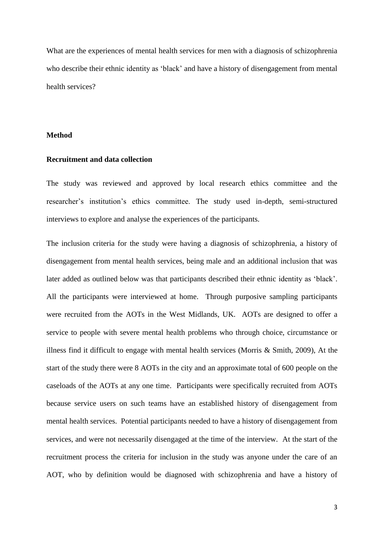What are the experiences of mental health services for men with a diagnosis of schizophrenia who describe their ethnic identity as 'black' and have a history of disengagement from mental health services?

## **Method**

## **Recruitment and data collection**

The study was reviewed and approved by local research ethics committee and the researcher's institution's ethics committee. The study used in-depth, semi-structured interviews to explore and analyse the experiences of the participants.

The inclusion criteria for the study were having a diagnosis of schizophrenia, a history of disengagement from mental health services, being male and an additional inclusion that was later added as outlined below was that participants described their ethnic identity as 'black'. All the participants were interviewed at home. Through purposive sampling participants were recruited from the AOTs in the West Midlands, UK. AOTs are designed to offer a service to people with severe mental health problems who through choice, circumstance or illness find it difficult to engage with mental health services (Morris & Smith, 2009), At the start of the study there were 8 AOTs in the city and an approximate total of 600 people on the caseloads of the AOTs at any one time. Participants were specifically recruited from AOTs because service users on such teams have an established history of disengagement from mental health services. Potential participants needed to have a history of disengagement from services, and were not necessarily disengaged at the time of the interview. At the start of the recruitment process the criteria for inclusion in the study was anyone under the care of an AOT, who by definition would be diagnosed with schizophrenia and have a history of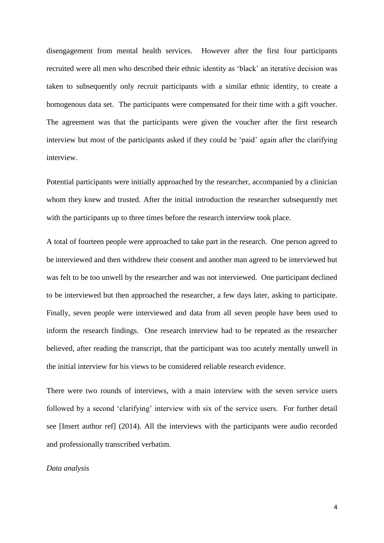disengagement from mental health services. However after the first four participants recruited were all men who described their ethnic identity as 'black' an iterative decision was taken to subsequently only recruit participants with a similar ethnic identity, to create a homogenous data set.The participants were compensated for their time with a gift voucher. The agreement was that the participants were given the voucher after the first research interview but most of the participants asked if they could be 'paid' again after the clarifying interview.

Potential participants were initially approached by the researcher, accompanied by a clinician whom they knew and trusted. After the initial introduction the researcher subsequently met with the participants up to three times before the research interview took place.

A total of fourteen people were approached to take part in the research. One person agreed to be interviewed and then withdrew their consent and another man agreed to be interviewed but was felt to be too unwell by the researcher and was not interviewed. One participant declined to be interviewed but then approached the researcher, a few days later, asking to participate. Finally, seven people were interviewed and data from all seven people have been used to inform the research findings. One research interview had to be repeated as the researcher believed, after reading the transcript, that the participant was too acutely mentally unwell in the initial interview for his views to be considered reliable research evidence.

There were two rounds of interviews, with a main interview with the seven service users followed by a second 'clarifying' interview with six of the service users. For further detail see [Insert author ref] (2014). All the interviews with the participants were audio recorded and professionally transcribed verbatim.

### *Data analysis*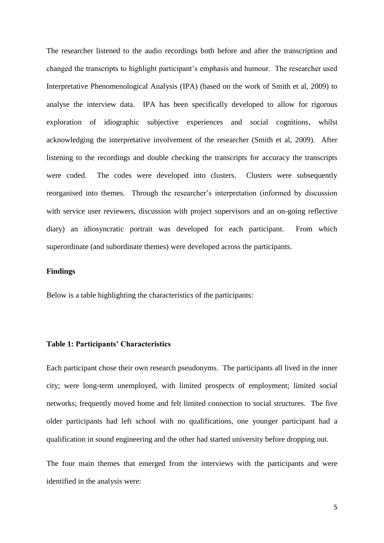The researcher listened to the audio recordings both before and after the transcription and changed the transcripts to highlight participant's emphasis and humour. The researcher used Interpretative Phenomenological Analysis (IPA) (based on the work of Smith et al, 2009) to analyse the interview data. IPA has been specifically developed to allow for rigorous exploration of idiographic subjective experiences and social cognitions, whilst acknowledging the interpretative involvement of the researcher (Smith et al, 2009). After listening to the recordings and double checking the transcripts for accuracy the transcripts were coded. The codes were developed into clusters. Clusters were subsequently reorganised into themes. Through the researcher's interpretation (informed by discussion with service user reviewers, discussion with project supervisors and an on-going reflective diary) an idiosyncratic portrait was developed for each participant. From which superordinate (and subordinate themes) were developed across the participants.

## **Findings**

Below is a table highlighting the characteristics of the participants:

## **Table 1: Participants' Characteristics**

Each participant chose their own research pseudonyms. The participants all lived in the inner city; were long-term unemployed, with limited prospects of employment; limited social networks; frequently moved home and felt limited connection to social structures. The five older participants had left school with no qualifications, one younger participant had a qualification in sound engineering and the other had started university before dropping out.

The four main themes that emerged from the interviews with the participants and were identified in the analysis were: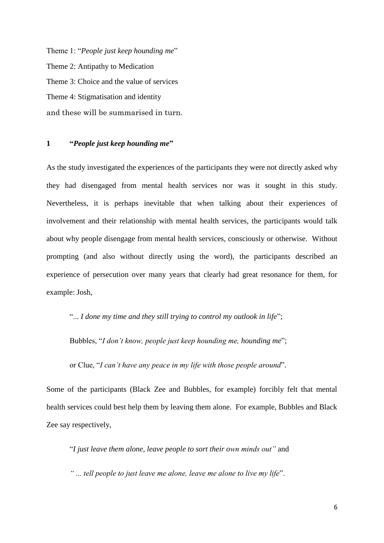Theme 1: "*People just keep hounding me*" Theme 2: Antipathy to Medication Theme 3: Choice and the value of services Theme 4: Stigmatisation and identity and these will be summarised in turn.

# **1 "***People just keep hounding me***"**

As the study investigated the experiences of the participants they were not directly asked why they had disengaged from mental health services nor was it sought in this study. Nevertheless, it is perhaps inevitable that when talking about their experiences of involvement and their relationship with mental health services, the participants would talk about why people disengage from mental health services, consciously or otherwise. Without prompting (and also without directly using the word), the participants described an experience of persecution over many years that clearly had great resonance for them, for example: Josh,

"... *I done my time and they still trying to control my outlook in life*";

Bubbles, "*I don't know, people just keep hounding me, hounding me*";

or Clue, "*I can't have any peace in my life with those people around*".

Some of the participants (Black Zee and Bubbles, for example) forcibly felt that mental health services could best help them by leaving them alone. For example, Bubbles and Black Zee say respectively,

"*I just leave them alone, leave people to sort their own minds out"* and

*" ... tell people to just leave me alone, leave me alone to live my life*".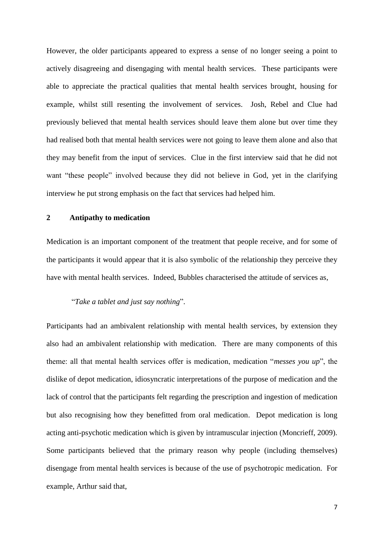However, the older participants appeared to express a sense of no longer seeing a point to actively disagreeing and disengaging with mental health services. These participants were able to appreciate the practical qualities that mental health services brought, housing for example, whilst still resenting the involvement of services. Josh, Rebel and Clue had previously believed that mental health services should leave them alone but over time they had realised both that mental health services were not going to leave them alone and also that they may benefit from the input of services. Clue in the first interview said that he did not want "these people" involved because they did not believe in God, yet in the clarifying interview he put strong emphasis on the fact that services had helped him.

# **2 Antipathy to medication**

Medication is an important component of the treatment that people receive, and for some of the participants it would appear that it is also symbolic of the relationship they perceive they have with mental health services. Indeed, Bubbles characterised the attitude of services as,

# "*Take a tablet and just say nothing*".

Participants had an ambivalent relationship with mental health services, by extension they also had an ambivalent relationship with medication. There are many components of this theme: all that mental health services offer is medication, medication "*messes you up*", the dislike of depot medication, idiosyncratic interpretations of the purpose of medication and the lack of control that the participants felt regarding the prescription and ingestion of medication but also recognising how they benefitted from oral medication. Depot medication is long acting anti-psychotic medication which is given by intramuscular injection (Moncrieff, 2009). Some participants believed that the primary reason why people (including themselves) disengage from mental health services is because of the use of psychotropic medication. For example, Arthur said that,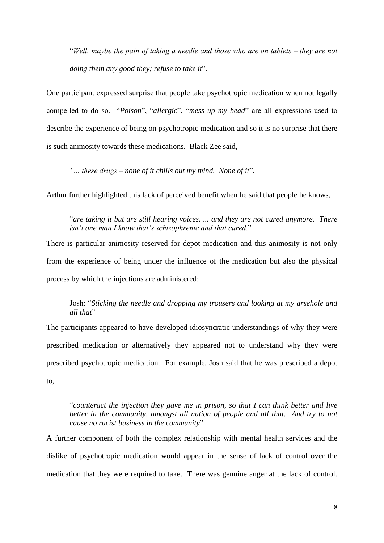"*Well, maybe the pain of taking a needle and those who are on tablets ‒ they are not doing them any good they; refuse to take it*".

One participant expressed surprise that people take psychotropic medication when not legally compelled to do so. "*Poison*", "*allergic*", "*mess up my head*" are all expressions used to describe the experience of being on psychotropic medication and so it is no surprise that there is such animosity towards these medications. Black Zee said,

*"... these drugs – none of it chills out my mind. None of it*".

Arthur further highlighted this lack of perceived benefit when he said that people he knows,

"*are taking it but are still hearing voices. ... and they are not cured anymore. There isn't one man I know that's schizophrenic and that cured*."

There is particular animosity reserved for depot medication and this animosity is not only from the experience of being under the influence of the medication but also the physical process by which the injections are administered:

Josh: "*Sticking the needle and dropping my trousers and looking at my arsehole and all that*"

The participants appeared to have developed idiosyncratic understandings of why they were prescribed medication or alternatively they appeared not to understand why they were prescribed psychotropic medication. For example, Josh said that he was prescribed a depot to,

"*counteract the injection they gave me in prison, so that I can think better and live better in the community, amongst all nation of people and all that. And try to not cause no racist business in the community*".

A further component of both the complex relationship with mental health services and the dislike of psychotropic medication would appear in the sense of lack of control over the medication that they were required to take. There was genuine anger at the lack of control.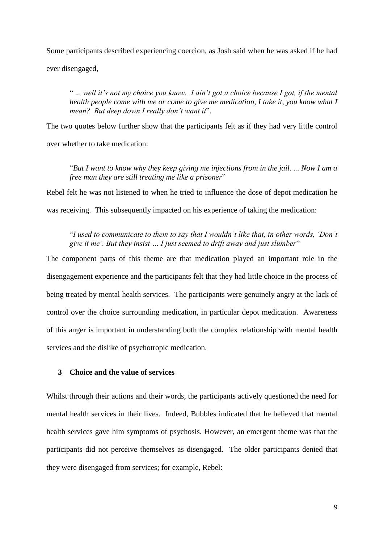Some participants described experiencing coercion, as Josh said when he was asked if he had ever disengaged,

" ... *well it's not my choice you know. I ain't got a choice because I got, if the mental health people come with me or come to give me medication, I take it, you know what I mean? But deep down I really don't want it*".

The two quotes below further show that the participants felt as if they had very little control over whether to take medication:

"*But I want to know why they keep giving me injections from in the jail. ... Now I am a free man they are still treating me like a prisoner*"

Rebel felt he was not listened to when he tried to influence the dose of depot medication he

was receiving. This subsequently impacted on his experience of taking the medication:

"*I used to communicate to them to say that I wouldn't like that, in other words, 'Don't give it me'. But they insist … I just seemed to drift away and just slumber*"

The component parts of this theme are that medication played an important role in the disengagement experience and the participants felt that they had little choice in the process of being treated by mental health services. The participants were genuinely angry at the lack of control over the choice surrounding medication, in particular depot medication. Awareness of this anger is important in understanding both the complex relationship with mental health services and the dislike of psychotropic medication.

# **3 Choice and the value of services**

Whilst through their actions and their words, the participants actively questioned the need for mental health services in their lives. Indeed, Bubbles indicated that he believed that mental health services gave him symptoms of psychosis. However, an emergent theme was that the participants did not perceive themselves as disengaged. The older participants denied that they were disengaged from services; for example, Rebel: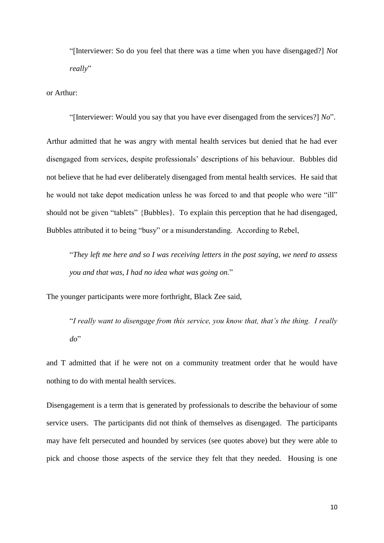"[Interviewer: So do you feel that there was a time when you have disengaged?] *Not really*"

or Arthur:

"[Interviewer: Would you say that you have ever disengaged from the services?] *No*".

Arthur admitted that he was angry with mental health services but denied that he had ever disengaged from services, despite professionals' descriptions of his behaviour. Bubbles did not believe that he had ever deliberately disengaged from mental health services. He said that he would not take depot medication unless he was forced to and that people who were "ill" should not be given "tablets" {Bubbles}. To explain this perception that he had disengaged, Bubbles attributed it to being "busy" or a misunderstanding. According to Rebel,

"*They left me here and so I was receiving letters in the post saying, we need to assess you and that was, I had no idea what was going on*."

The younger participants were more forthright, Black Zee said,

"*I really want to disengage from this service, you know that, that's the thing. I really do*"

and T admitted that if he were not on a community treatment order that he would have nothing to do with mental health services.

Disengagement is a term that is generated by professionals to describe the behaviour of some service users. The participants did not think of themselves as disengaged. The participants may have felt persecuted and hounded by services (see quotes above) but they were able to pick and choose those aspects of the service they felt that they needed. Housing is one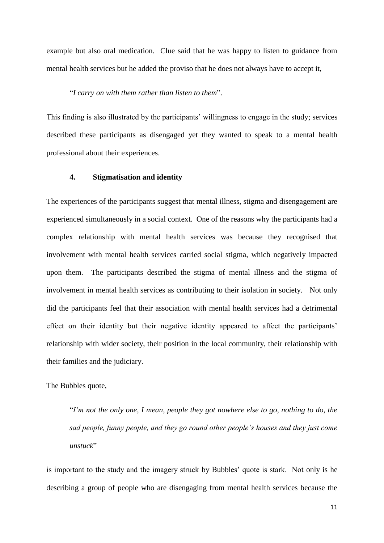example but also oral medication. Clue said that he was happy to listen to guidance from mental health services but he added the proviso that he does not always have to accept it,

## "*I carry on with them rather than listen to them*".

This finding is also illustrated by the participants' willingness to engage in the study; services described these participants as disengaged yet they wanted to speak to a mental health professional about their experiences.

### **4. Stigmatisation and identity**

The experiences of the participants suggest that mental illness, stigma and disengagement are experienced simultaneously in a social context. One of the reasons why the participants had a complex relationship with mental health services was because they recognised that involvement with mental health services carried social stigma, which negatively impacted upon them. The participants described the stigma of mental illness and the stigma of involvement in mental health services as contributing to their isolation in society. Not only did the participants feel that their association with mental health services had a detrimental effect on their identity but their negative identity appeared to affect the participants' relationship with wider society, their position in the local community, their relationship with their families and the judiciary.

The Bubbles quote,

"*I'm not the only one, I mean, people they got nowhere else to go, nothing to do, the sad people, funny people, and they go round other people's houses and they just come unstuck*"

is important to the study and the imagery struck by Bubbles' quote is stark. Not only is he describing a group of people who are disengaging from mental health services because the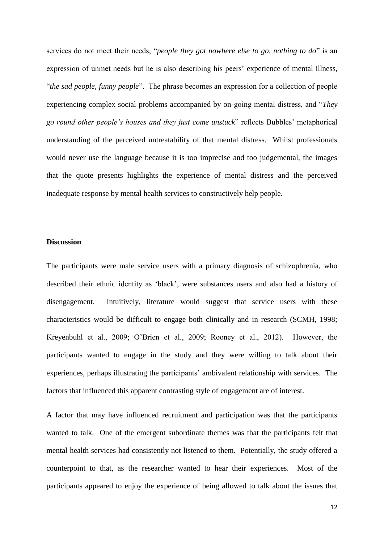services do not meet their needs, "*people they got nowhere else to go, nothing to do*" is an expression of unmet needs but he is also describing his peers' experience of mental illness, "*the sad people, funny people*". The phrase becomes an expression for a collection of people experiencing complex social problems accompanied by on-going mental distress, and "*They go round other people's houses and they just come unstuck*" reflects Bubbles' metaphorical understanding of the perceived untreatability of that mental distress. Whilst professionals would never use the language because it is too imprecise and too judgemental, the images that the quote presents highlights the experience of mental distress and the perceived inadequate response by mental health services to constructively help people.

## **Discussion**

The participants were male service users with a primary diagnosis of schizophrenia, who described their ethnic identity as 'black', were substances users and also had a history of disengagement. Intuitively, literature would suggest that service users with these characteristics would be difficult to engage both clinically and in research (SCMH, 1998; Kreyenbuhl et al., 2009; O'Brien et al., 2009; Rooney et al., 2012). However, the participants wanted to engage in the study and they were willing to talk about their experiences, perhaps illustrating the participants' ambivalent relationship with services. The factors that influenced this apparent contrasting style of engagement are of interest.

A factor that may have influenced recruitment and participation was that the participants wanted to talk. One of the emergent subordinate themes was that the participants felt that mental health services had consistently not listened to them. Potentially, the study offered a counterpoint to that, as the researcher wanted to hear their experiences. Most of the participants appeared to enjoy the experience of being allowed to talk about the issues that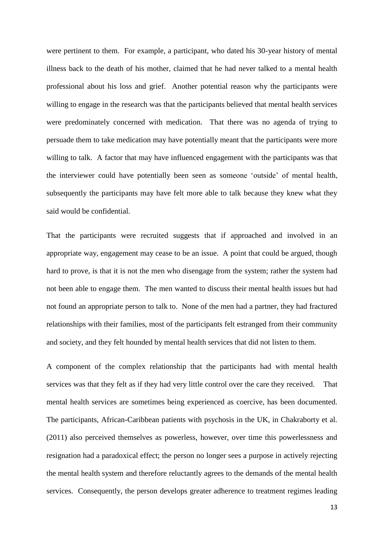were pertinent to them. For example, a participant, who dated his 30-year history of mental illness back to the death of his mother, claimed that he had never talked to a mental health professional about his loss and grief. Another potential reason why the participants were willing to engage in the research was that the participants believed that mental health services were predominately concerned with medication. That there was no agenda of trying to persuade them to take medication may have potentially meant that the participants were more willing to talk. A factor that may have influenced engagement with the participants was that the interviewer could have potentially been seen as someone 'outside' of mental health, subsequently the participants may have felt more able to talk because they knew what they said would be confidential.

That the participants were recruited suggests that if approached and involved in an appropriate way, engagement may cease to be an issue. A point that could be argued, though hard to prove, is that it is not the men who disengage from the system; rather the system had not been able to engage them. The men wanted to discuss their mental health issues but had not found an appropriate person to talk to. None of the men had a partner, they had fractured relationships with their families, most of the participants felt estranged from their community and society, and they felt hounded by mental health services that did not listen to them.

A component of the complex relationship that the participants had with mental health services was that they felt as if they had very little control over the care they received. That mental health services are sometimes being experienced as coercive, has been documented. The participants, African-Caribbean patients with psychosis in the UK, in Chakraborty et al. (2011) also perceived themselves as powerless, however, over time this powerlessness and resignation had a paradoxical effect; the person no longer sees a purpose in actively rejecting the mental health system and therefore reluctantly agrees to the demands of the mental health services. Consequently, the person develops greater adherence to treatment regimes leading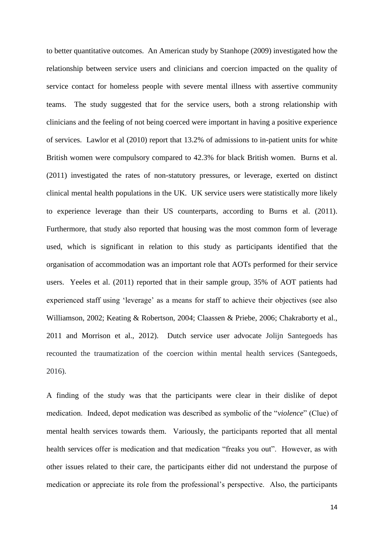to better quantitative outcomes. An American study by Stanhope (2009) investigated how the relationship between service users and clinicians and coercion impacted on the quality of service contact for homeless people with severe mental illness with assertive community teams. The study suggested that for the service users, both a strong relationship with clinicians and the feeling of not being coerced were important in having a positive experience of services. Lawlor et al (2010) report that 13.2% of admissions to in-patient units for white British women were compulsory compared to 42.3% for black British women. Burns et al. (2011) investigated the rates of non-statutory pressures, or leverage, exerted on distinct clinical mental health populations in the UK. UK service users were statistically more likely to experience leverage than their US counterparts, according to Burns et al. (2011). Furthermore, that study also reported that housing was the most common form of leverage used, which is significant in relation to this study as participants identified that the organisation of accommodation was an important role that AOTs performed for their service users. Yeeles et al. (2011) reported that in their sample group, 35% of AOT patients had experienced staff using 'leverage' as a means for staff to achieve their objectives (see also Williamson, 2002; Keating & Robertson, 2004; Claassen & Priebe, 2006; Chakraborty et al., 2011 and Morrison et al., 2012). Dutch service user advocate Jolijn Santegoeds has recounted the traumatization of the coercion within mental health services (Santegoeds, 2016).

A finding of the study was that the participants were clear in their dislike of depot medication. Indeed, depot medication was described as symbolic of the "*violence*" (Clue) of mental health services towards them. Variously, the participants reported that all mental health services offer is medication and that medication "freaks you out". However, as with other issues related to their care, the participants either did not understand the purpose of medication or appreciate its role from the professional's perspective. Also, the participants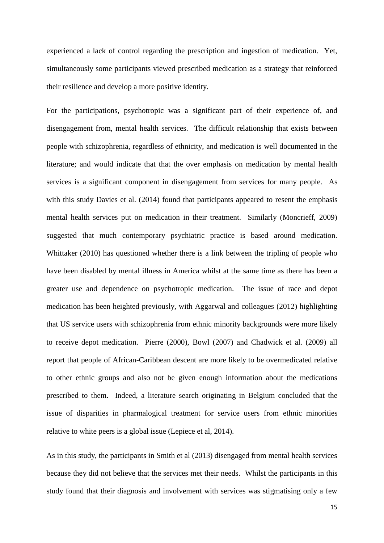experienced a lack of control regarding the prescription and ingestion of medication. Yet, simultaneously some participants viewed prescribed medication as a strategy that reinforced their resilience and develop a more positive identity.

For the participations, psychotropic was a significant part of their experience of, and disengagement from, mental health services. The difficult relationship that exists between people with schizophrenia, regardless of ethnicity, and medication is well documented in the literature; and would indicate that that the over emphasis on medication by mental health services is a significant component in disengagement from services for many people. As with this study Davies et al. (2014) found that participants appeared to resent the emphasis mental health services put on medication in their treatment. Similarly (Moncrieff, 2009) suggested that much contemporary psychiatric practice is based around medication. Whittaker (2010) has questioned whether there is a link between the tripling of people who have been disabled by mental illness in America whilst at the same time as there has been a greater use and dependence on psychotropic medication. The issue of race and depot medication has been heighted previously, with Aggarwal and colleagues (2012) highlighting that US service users with schizophrenia from ethnic minority backgrounds were more likely to receive depot medication. Pierre (2000), Bowl (2007) and Chadwick et al. (2009) all report that people of African-Caribbean descent are more likely to be overmedicated relative to other ethnic groups and also not be given enough information about the medications prescribed to them. Indeed, a literature search originating in Belgium concluded that the issue of disparities in pharmalogical treatment for service users from ethnic minorities relative to white peers is a global issue (Lepiece et al, 2014).

As in this study, the participants in Smith et al (2013) disengaged from mental health services because they did not believe that the services met their needs. Whilst the participants in this study found that their diagnosis and involvement with services was stigmatising only a few

15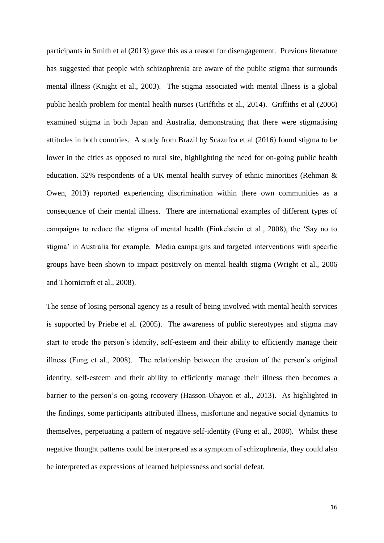participants in Smith et al (2013) gave this as a reason for disengagement. Previous literature has suggested that people with schizophrenia are aware of the public stigma that surrounds mental illness (Knight et al., 2003). The stigma associated with mental illness is a global public health problem for mental health nurses (Griffiths et al., 2014). Griffiths et al (2006) examined stigma in both Japan and Australia, demonstrating that there were stigmatising attitudes in both countries. A study from Brazil by Scazufca et al (2016) found stigma to be lower in the cities as opposed to rural site, highlighting the need for on-going public health education. 32% respondents of a UK mental health survey of ethnic minorities (Rehman & Owen, 2013) reported experiencing discrimination within there own communities as a consequence of their mental illness. There are international examples of different types of campaigns to reduce the stigma of mental health (Finkelstein et al., 2008), the 'Say no to stigma' in Australia for example. Media campaigns and targeted interventions with specific groups have been shown to impact positively on mental health stigma (Wright et al., 2006 and Thornicroft et al., 2008).

The sense of losing personal agency as a result of being involved with mental health services is supported by Priebe et al. (2005). The awareness of public stereotypes and stigma may start to erode the person's identity, self-esteem and their ability to efficiently manage their illness (Fung et al., 2008). The relationship between the erosion of the person's original identity, self-esteem and their ability to efficiently manage their illness then becomes a barrier to the person's on-going recovery (Hasson-Ohayon et al., 2013). As highlighted in the findings, some participants attributed illness, misfortune and negative social dynamics to themselves, perpetuating a pattern of negative self-identity (Fung et al., 2008). Whilst these negative thought patterns could be interpreted as a symptom of schizophrenia, they could also be interpreted as expressions of learned helplessness and social defeat.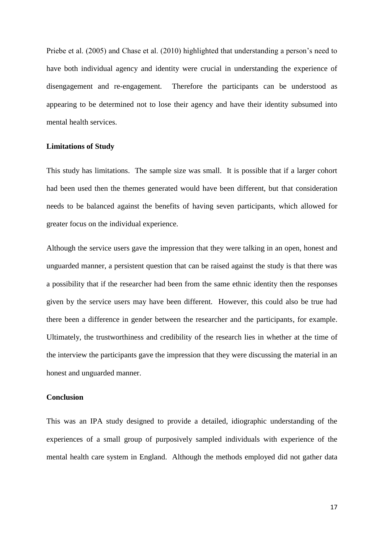Priebe et al. (2005) and Chase et al. (2010) highlighted that understanding a person's need to have both individual agency and identity were crucial in understanding the experience of disengagement and re-engagement. Therefore the participants can be understood as appearing to be determined not to lose their agency and have their identity subsumed into mental health services.

## **Limitations of Study**

This study has limitations. The sample size was small. It is possible that if a larger cohort had been used then the themes generated would have been different, but that consideration needs to be balanced against the benefits of having seven participants, which allowed for greater focus on the individual experience.

Although the service users gave the impression that they were talking in an open, honest and unguarded manner, a persistent question that can be raised against the study is that there was a possibility that if the researcher had been from the same ethnic identity then the responses given by the service users may have been different. However, this could also be true had there been a difference in gender between the researcher and the participants, for example. Ultimately, the trustworthiness and credibility of the research lies in whether at the time of the interview the participants gave the impression that they were discussing the material in an honest and unguarded manner.

## **Conclusion**

This was an IPA study designed to provide a detailed, idiographic understanding of the experiences of a small group of purposively sampled individuals with experience of the mental health care system in England. Although the methods employed did not gather data